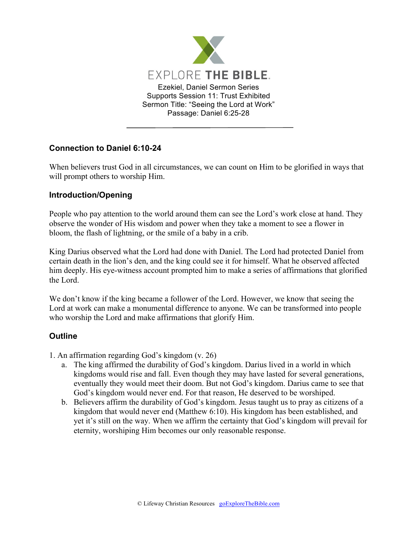

## **Connection to Daniel 6:10-24**

When believers trust God in all circumstances, we can count on Him to be glorified in ways that will prompt others to worship Him.

## **Introduction/Opening**

People who pay attention to the world around them can see the Lord's work close at hand. They observe the wonder of His wisdom and power when they take a moment to see a flower in bloom, the flash of lightning, or the smile of a baby in a crib.

King Darius observed what the Lord had done with Daniel. The Lord had protected Daniel from certain death in the lion's den, and the king could see it for himself. What he observed affected him deeply. His eye-witness account prompted him to make a series of affirmations that glorified the Lord.

We don't know if the king became a follower of the Lord. However, we know that seeing the Lord at work can make a monumental difference to anyone. We can be transformed into people who worship the Lord and make affirmations that glorify Him.

## **Outline**

- 1. An affirmation regarding God's kingdom (v. 26)
	- a. The king affirmed the durability of God's kingdom. Darius lived in a world in which kingdoms would rise and fall. Even though they may have lasted for several generations, eventually they would meet their doom. But not God's kingdom. Darius came to see that God's kingdom would never end. For that reason, He deserved to be worshiped.
	- b. Believers affirm the durability of God's kingdom. Jesus taught us to pray as citizens of a kingdom that would never end (Matthew 6:10). His kingdom has been established, and yet it's still on the way. When we affirm the certainty that God's kingdom will prevail for eternity, worshiping Him becomes our only reasonable response.